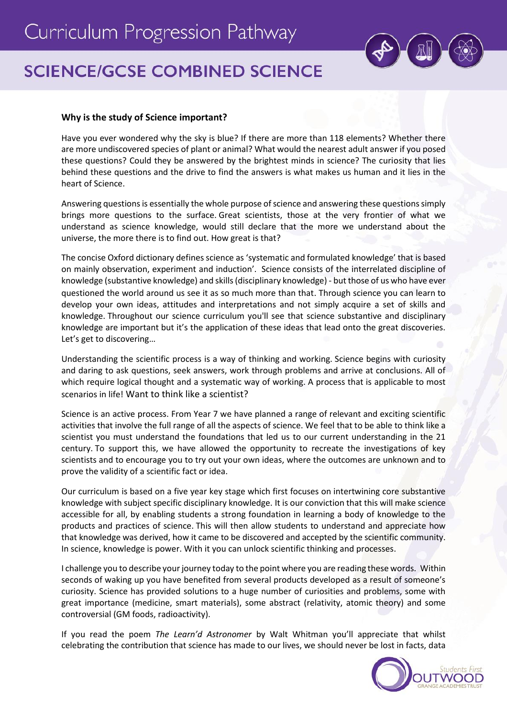

# **SCIENCE/GCSE COMBINED SCIENCE**

# **Why is the study of Science important?**

Have you ever wondered why the sky is blue? If there are more than 118 elements? Whether there are more undiscovered species of plant or animal? What would the nearest adult answer if you posed these questions? Could they be answered by the brightest minds in science? The curiosity that lies behind these questions and the drive to find the answers is what makes us human and it lies in the heart of Science.

Answering questions is essentially the whole purpose of science and answering these questions simply brings more questions to the surface. Great scientists, those at the very frontier of what we understand as science knowledge, would still declare that the more we understand about the universe, the more there is to find out. How great is that?

The concise Oxford dictionary defines science as 'systematic and formulated knowledge' that is based on mainly observation, experiment and induction'. Science consists of the interrelated discipline of knowledge (substantive knowledge) and skills (disciplinary knowledge) - but those of us who have ever questioned the world around us see it as so much more than that. Through science you can learn to develop your own ideas, attitudes and interpretations and not simply acquire a set of skills and knowledge. Throughout our science curriculum you'll see that science substantive and disciplinary knowledge are important but it's the application of these ideas that lead onto the great discoveries. Let's get to discovering…

Understanding the scientific process is a way of thinking and working. Science begins with curiosity and daring to ask questions, seek answers, work through problems and arrive at conclusions. All of which require logical thought and a systematic way of working. A process that is applicable to most scenarios in life! Want to think like a scientist?

Science is an active process. From Year 7 we have planned a range of relevant and exciting scientific activities that involve the full range of all the aspects of science. We feel that to be able to think like a scientist you must understand the foundations that led us to our current understanding in the 21 century. To support this, we have allowed the opportunity to recreate the investigations of key scientists and to encourage you to try out your own ideas, where the outcomes are unknown and to prove the validity of a scientific fact or idea.

Our curriculum is based on a five year key stage which first focuses on intertwining core substantive knowledge with subject specific disciplinary knowledge. It is our conviction that this will make science accessible for all, by enabling students a strong foundation in learning a body of knowledge to the products and practices of science. This will then allow students to understand and appreciate how that knowledge was derived, how it came to be discovered and accepted by the scientific community. In science, knowledge is power. With it you can unlock scientific thinking and processes.

I challenge you to describe your journey today to the point where you are reading these words. Within seconds of waking up you have benefited from several products developed as a result of someone's curiosity. Science has provided solutions to a huge number of curiosities and problems, some with great importance (medicine, smart materials), some abstract (relativity, atomic theory) and some controversial (GM foods, radioactivity).

If you read the poem *The Learn'd Astronomer* by Walt Whitman you'll appreciate that whilst celebrating the contribution that science has made to our lives, we should never be lost in facts, data

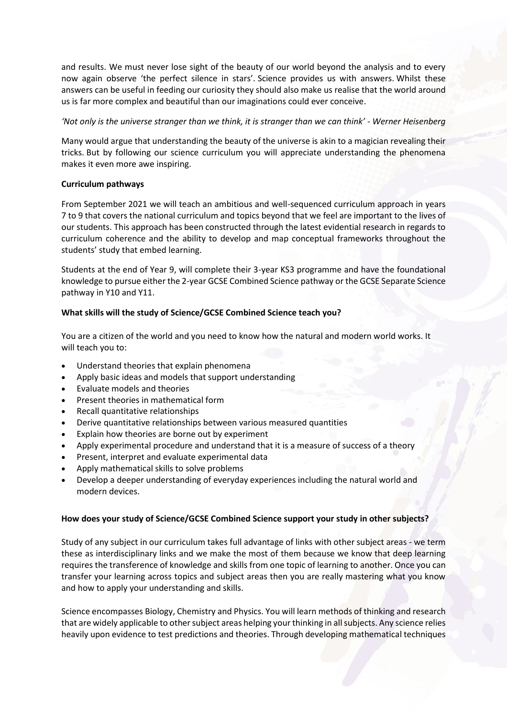and results. We must never lose sight of the beauty of our world beyond the analysis and to every now again observe 'the perfect silence in stars'. Science provides us with answers. Whilst these answers can be useful in feeding our curiosity they should also make us realise that the world around us is far more complex and beautiful than our imaginations could ever conceive.

*'Not only is the universe stranger than we think, it is stranger than we can think' - Werner Heisenberg* 

Many would argue that understanding the beauty of the universe is akin to a magician revealing their tricks. But by following our science curriculum you will appreciate understanding the phenomena makes it even more awe inspiring.

# **Curriculum pathways**

From September 2021 we will teach an ambitious and well-sequenced curriculum approach in years 7 to 9 that covers the national curriculum and topics beyond that we feel are important to the lives of our students. This approach has been constructed through the latest evidential research in regards to curriculum coherence and the ability to develop and map conceptual frameworks throughout the students' study that embed learning.

Students at the end of Year 9, will complete their 3-year KS3 programme and have the foundational knowledge to pursue either the 2-year GCSE Combined Science pathway or the GCSE Separate Science pathway in Y10 and Y11.

# **What skills will the study of Science/GCSE Combined Science teach you?**

You are a citizen of the world and you need to know how the natural and modern world works. It will teach you to:

- Understand theories that explain phenomena
- Apply basic ideas and models that support understanding
- Evaluate models and theories
- Present theories in mathematical form
- Recall quantitative relationships
- Derive quantitative relationships between various measured quantities
- Explain how theories are borne out by experiment
- Apply experimental procedure and understand that it is a measure of success of a theory
- Present, interpret and evaluate experimental data
- Apply mathematical skills to solve problems
- Develop a deeper understanding of everyday experiences including the natural world and modern devices.

# **How does your study of Science/GCSE Combined Science support your study in other subjects?**

Study of any subject in our curriculum takes full advantage of links with other subject areas - we term these as interdisciplinary links and we make the most of them because we know that deep learning requires the transference of knowledge and skills from one topic of learning to another. Once you can transfer your learning across topics and subject areas then you are really mastering what you know and how to apply your understanding and skills.

Science encompasses Biology, Chemistry and Physics. You will learn methods of thinking and research that are widely applicable to other subject areas helping your thinking in all subjects. Any science relies heavily upon evidence to test predictions and theories. Through developing mathematical techniques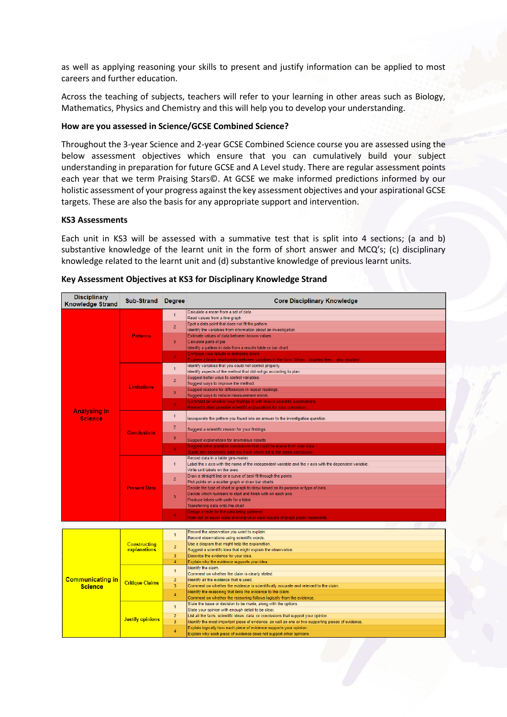as well as applying reasoning your skills to present and justify information can be applied to most careers and further education.

Across the teaching of subjects, teachers will refer to your learning in other areas such as Biology, Mathematics, Physics and Chemistry and this will help you to develop your understanding.

## **How are you assessed in Science/GCSE Combined Science?**

Throughout the 3-year Science and 2-year GCSE Combined Science course you are assessed using the below assessment objectives which ensure that you can cumulatively build your subject understanding in preparation for future GCSE and A Level study. There are regular assessment points each year that we term Praising Stars©. At GCSE we make informed predictions informed by our holistic assessment of your progress against the key assessment objectives and your aspirational GCSE targets. These are also the basis for any appropriate support and intervention.

# **KS3 Assessments**

Each unit in KS3 will be assessed with a summative test that is split into 4 sections; (a and b) substantive knowledge of the learnt unit in the form of short answer and MCQ's; (c) disciplinary knowledge related to the learnt unit and (d) substantive knowledge of previous learnt units.

| <b>Disciplinary</b><br><b>Knowledge Strand</b> | Sub-Strand Degree                   |                | <b>Core Disciplinary Knowledge</b>                                                                                                          |  |  |
|------------------------------------------------|-------------------------------------|----------------|---------------------------------------------------------------------------------------------------------------------------------------------|--|--|
|                                                |                                     | $\mathbf{1}$   | Calculate a mean from a set of data                                                                                                         |  |  |
|                                                |                                     |                | Read values from a line graph                                                                                                               |  |  |
|                                                |                                     | $\overline{2}$ | Spot a data point that does not fit the pattern.                                                                                            |  |  |
|                                                |                                     |                | Identify the variables from information about an investigation.                                                                             |  |  |
|                                                | <b>Patterns</b>                     | 3              | Estimate values of data between known values.                                                                                               |  |  |
|                                                |                                     |                | Calculate parts of pie<br>Identify a pattern in data from a results table or bar chart.                                                     |  |  |
|                                                |                                     |                | Compare your results to someone else's                                                                                                      |  |  |
|                                                |                                     | 4              | Express a linear relationship between variables in the form 'When doubles then also doubles'                                                |  |  |
|                                                |                                     |                | Identify variables that you could not control properly.                                                                                     |  |  |
|                                                |                                     | $\mathbf{1}$   | Identify aspects of the method that did not go according to plan.                                                                           |  |  |
|                                                |                                     | $\overline{2}$ | Suggest better ways to control variables.                                                                                                   |  |  |
|                                                | <b>Limitations</b>                  |                | Suggest ways to improve the method.                                                                                                         |  |  |
|                                                |                                     | 3              | Suggest reasons for differences in repeat readings.                                                                                         |  |  |
|                                                |                                     |                | Suggest ways to reduce measurement errors.                                                                                                  |  |  |
|                                                |                                     | $\overline{4}$ | Comment on whether your findings fit with known scientific explanations.                                                                    |  |  |
| <b>Analysing in</b>                            |                                     |                | Research other possible scientific explanations for your conclusion.                                                                        |  |  |
| <b>Science</b>                                 |                                     | $\mathbf{1}$   | Incorporate the pattern you found into an answer to the investigation question.                                                             |  |  |
|                                                |                                     |                |                                                                                                                                             |  |  |
|                                                | <b>Conclusions</b>                  | $\overline{2}$ | Suggest a scientific reason for your findings.                                                                                              |  |  |
|                                                |                                     | 3              | Suggest explanations for anomalous results                                                                                                  |  |  |
|                                                |                                     | $\overline{4}$ | Suggest other possible conclusions that could be drawn from your data.                                                                      |  |  |
|                                                |                                     |                | Quote any secondary data you have which led to the same conclusion.<br>Record data in a table (pre-made)                                    |  |  |
|                                                |                                     | $\mathbf{1}$   | Label the x axis with the name of the independent variable and the y axis with the dependent variable.                                      |  |  |
|                                                |                                     |                | Write unit labels on the axes.                                                                                                              |  |  |
|                                                |                                     |                | Draw a straight line or a curve of best fit through the points.                                                                             |  |  |
|                                                |                                     | $\overline{2}$ | Plot points on a scatter graph or draw bar charts                                                                                           |  |  |
|                                                | <b>Present Data</b>                 |                | Decide the type of chart or graph to draw based on its purpose or type of data.                                                             |  |  |
|                                                |                                     | 3              | Decide which numbers to start and finish with on each axis.                                                                                 |  |  |
|                                                |                                     |                | Produce labels with units for a table                                                                                                       |  |  |
|                                                |                                     |                | Transferring data onto Pie-chart                                                                                                            |  |  |
|                                                |                                     | $\overline{4}$ | Design a table for the data being gathered                                                                                                  |  |  |
|                                                |                                     |                | Mark out an equal scale showing what each square of graph paper represents.                                                                 |  |  |
|                                                |                                     |                |                                                                                                                                             |  |  |
|                                                |                                     | $\mathbf{1}$   | Record the observation you want to explain.<br>Record observations using scientific words.                                                  |  |  |
|                                                | <b>Constructing</b><br>explanations |                | Use a diagram that might help the explanation.                                                                                              |  |  |
|                                                |                                     | $\overline{2}$ | Suggest a scientific idea that might explain the observation.                                                                               |  |  |
|                                                |                                     | 3              | Describe the evidence for your idea.                                                                                                        |  |  |
|                                                |                                     | $\overline{4}$ | Explain why the evidence supports your idea.                                                                                                |  |  |
|                                                |                                     |                | Identify the claim.                                                                                                                         |  |  |
|                                                |                                     | $\mathbf{1}$   | Comment on whether the claim is clearly stated.                                                                                             |  |  |
| <b>Communicating in</b>                        | <b>Critique Claims</b>              | $\overline{2}$ | Identify all the evidence that is used.                                                                                                     |  |  |
| <b>Science</b>                                 |                                     | 3              | Comment on whether the evidence is scientifically accurate and relevant to the claim.                                                       |  |  |
|                                                |                                     | $\overline{4}$ | Identify the reasoning that links the evidence to the claim.                                                                                |  |  |
|                                                |                                     |                | Comment on whether the reasoning follows logically from the evidence.                                                                       |  |  |
|                                                |                                     | $\mathbf{1}$   | State the issue or decision to be made, along with the options.                                                                             |  |  |
|                                                |                                     | $\overline{2}$ | State your opinion with enough detail to be clear.<br>List all the facts, scientific ideas, data, or conclusions that support your opinion. |  |  |
|                                                | <b>Justify opinions</b>             | 3              | Identify the most important piece of evidence, as well as one or two supporting pieces of evidence.                                         |  |  |
|                                                |                                     |                | Explain logically how each piece of evidence supports your opinion.                                                                         |  |  |
|                                                |                                     | $\overline{4}$ | Explain why each piece of evidence does not support other opinions                                                                          |  |  |
|                                                |                                     |                |                                                                                                                                             |  |  |

#### **Key Assessment Objectives at KS3 for Disciplinary Knowledge Strand**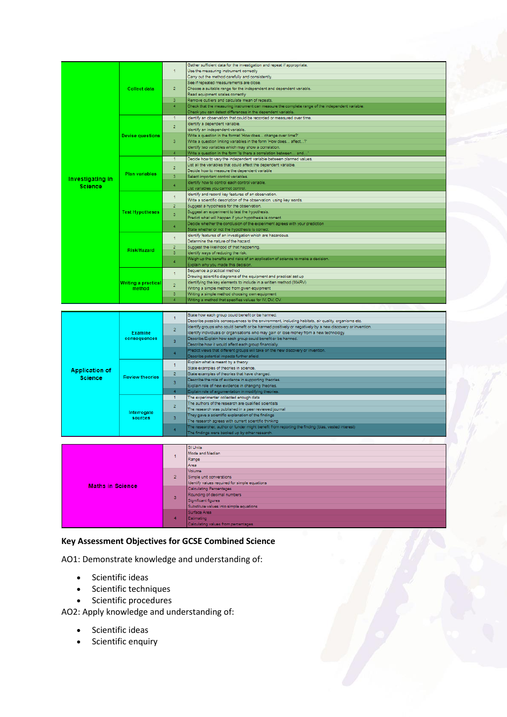|                  |                                      |                                | Gather sufficient data for the investigation and repeat if appropriate.                         |
|------------------|--------------------------------------|--------------------------------|-------------------------------------------------------------------------------------------------|
|                  |                                      | 1                              | Use the measuring instrument correctly                                                          |
|                  |                                      |                                | Carry out the method carefully and consistently.                                                |
|                  |                                      |                                | See if repeated measurements are close.                                                         |
|                  | Collect data                         | $\overline{2}$                 | Choose a suitable range for the independent and dependent variable.                             |
|                  |                                      |                                | Read equipment scales correctly                                                                 |
|                  |                                      | $\overline{3}$                 | Remove outliers and calculate mean of repeats.                                                  |
|                  |                                      | $\overline{4}$                 | Check that the measuring instrument can measure the complete range of the independent variable. |
|                  |                                      |                                | Check you can detect differences in the dependent variable.                                     |
|                  |                                      | $\blacktriangleleft$           | Identify an observation that could be recorded or measured over time.                           |
|                  |                                      | $\overline{2}$                 | Identify a dependent variable.                                                                  |
|                  |                                      |                                | Identify an independent variable.                                                               |
|                  | <b>Devise questions</b>              |                                | Write a question in the format 'How does change over time?'                                     |
|                  |                                      | $\overline{3}$                 | Write a question linking variables in the form 'How does affect?"                               |
|                  |                                      |                                | Identify two variables which may show a correlation.                                            |
|                  |                                      | 4                              | Write a question in the form 'Is there a correlation between and'                               |
|                  |                                      | $\blacktriangleleft$           | Decide how to vary the independent variable between planned values.                             |
|                  |                                      |                                | List all the variables that could affect the dependent variable.                                |
|                  | Plan variables                       | $\overline{2}$                 | Decide how to measure the dependent variable                                                    |
|                  |                                      | $\overline{3}$                 | Select important control variables.                                                             |
| Investigating in |                                      | 4                              | Identify how to control each control variable.                                                  |
| <b>Science</b>   |                                      |                                | List variables you cannot control.                                                              |
|                  |                                      | 1                              | Identify and record key features of an observation.                                             |
|                  |                                      |                                | Write a scientific description of the observation, using key words.                             |
|                  |                                      | $\overline{2}$                 | Suggest a hypothesis for the observation.                                                       |
|                  | <b>Test Hypotheses</b>               |                                | Suggest an experiment to test the hypothesis.                                                   |
|                  |                                      | $\overline{3}$                 | Predict what will happen if your hypothesis is correct.                                         |
|                  |                                      |                                | Decide whether the conclusion of the experiment agrees with your prediction                     |
|                  |                                      | 4                              | State whether or not the hypothesis is correct.                                                 |
|                  |                                      |                                | Identify features of an investigation which are hazardous.                                      |
|                  |                                      | 1                              | Determine the nature of the hazard.                                                             |
|                  |                                      | $\overline{2}$                 | Suggest the likelihood of that happening.                                                       |
|                  | Risk/Hazard                          | a.                             | Identify ways of reducing the risk.                                                             |
|                  |                                      |                                | Weigh up the benefits and risks of an application of science to make a decision.                |
|                  |                                      | 4                              | Explain why you made this decision.                                                             |
|                  | <b>Writing a practical</b><br>method | $\mathbf{1}$<br>$\overline{2}$ | Sequence a practical method                                                                     |
|                  |                                      |                                | Drawing scientific diagrams of the equipment and practical set up                               |
|                  |                                      |                                | Identifying the key elements to include in a written method (MARV)                              |
|                  |                                      |                                | Writing a simple method from given equipment                                                    |
|                  |                                      | a.                             | Writing a simple method choosing own equipment                                                  |
|                  |                                      |                                |                                                                                                 |

|                       | <b>Examine</b><br>consequences |                         | State how each group could benefit or be harmed.                                                         |
|-----------------------|--------------------------------|-------------------------|----------------------------------------------------------------------------------------------------------|
|                       |                                |                         | Describe possible consequences to the environment, including habitats, air quality, organisms etc.       |
|                       |                                |                         | Identify groups who could benefit or be harmed positively or negatively by a new discovery or invention. |
|                       |                                |                         | Identify individuals or organisations who may gain or lose money from a new technology.                  |
|                       |                                | R.                      | Describe/Explain how each group could benefit or be harmed.                                              |
|                       |                                |                         | Describe how it would affect each group financially.                                                     |
|                       |                                |                         | Predict views that different groups will take on the new discovery or invention.                         |
|                       |                                |                         | Describe potential impacts further afield.                                                               |
|                       |                                |                         | Explain what is meant by a theory.                                                                       |
| <b>Application of</b> |                                |                         | State examples of theories in science.                                                                   |
|                       |                                | $\overline{2}$          | State examples of theories that have changed.                                                            |
| <b>Science</b>        | <b>Review theories</b>         | $\overline{\mathbf{3}}$ | Describe the role of evidence in supporting theories.                                                    |
|                       |                                |                         | Explain role of new evidence in changing theories.                                                       |
|                       |                                | 4                       | Explain role of argumentation in modifying theories.                                                     |
|                       |                                |                         | The experimenter collected enough data                                                                   |
|                       |                                | o.                      | The authors of the research are qualified scientists                                                     |
|                       |                                |                         | The research was published in a peer reviewed journal                                                    |
|                       | Interrogate                    | я                       | They gave a scientific explanation of the findings                                                       |
|                       | sources                        |                         | The research agrees with current scientific thinking                                                     |
|                       |                                |                         | The researcher, author or funder might benefit from reporting the finding (bias, vested interest)        |
|                       |                                |                         | The findings were backed up by other research.                                                           |

|                         |                | SI Units                                      |
|-------------------------|----------------|-----------------------------------------------|
|                         |                | Mode and Median                               |
|                         |                | Range                                         |
|                         |                | Area                                          |
|                         | $\overline{2}$ | Volume                                        |
|                         |                | Simple unit converstions                      |
| <b>Maths in Science</b> |                | Identify values required for simple equations |
|                         | 3              | Calculating Percentages                       |
|                         |                | Rounding of decimal numbers                   |
|                         |                | Significant figures                           |
|                         |                | Substitute values into simple equations       |
|                         |                | Surface Area                                  |
|                         |                | Estimating                                    |
|                         |                | Calculating values from nementages            |

# **Key Assessment Objectives for GCSE Combined Science**

AO1: Demonstrate knowledge and understanding of:

- Scientific ideas
- Scientific techniques
- Scientific procedures

AO2: Apply knowledge and understanding of:

- Scientific ideas
- Scientific enquiry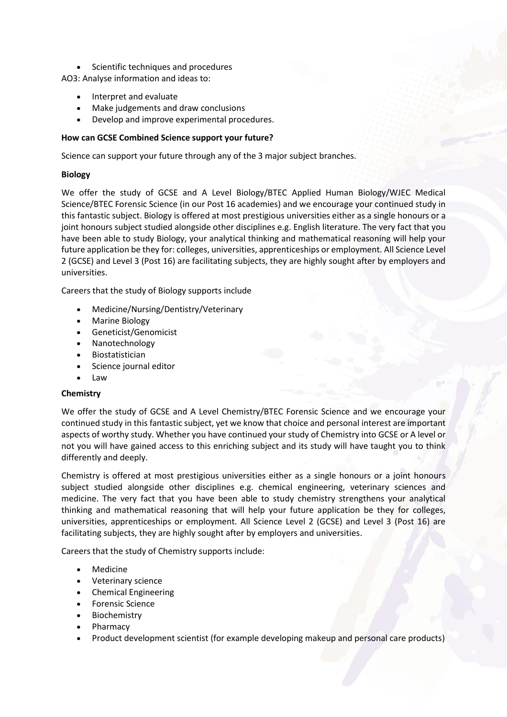Scientific techniques and procedures

AO3: Analyse information and ideas to:

- Interpret and evaluate
- Make judgements and draw conclusions
- Develop and improve experimental procedures.

# **How can GCSE Combined Science support your future?**

Science can support your future through any of the 3 major subject branches.

# **Biology**

We offer the study of GCSE and A Level Biology/BTEC Applied Human Biology/WJEC Medical Science/BTEC Forensic Science (in our Post 16 academies) and we encourage your continued study in this fantastic subject. Biology is offered at most prestigious universities either as a single honours or a joint honours subject studied alongside other disciplines e.g. English literature. The very fact that you have been able to study Biology, your analytical thinking and mathematical reasoning will help your future application be they for: colleges, universities, apprenticeships or employment. All Science Level 2 (GCSE) and Level 3 (Post 16) are facilitating subjects, they are highly sought after by employers and universities.

Careers that the study of Biology supports include

- Medicine/Nursing/Dentistry/Veterinary
- Marine Biology
- Geneticist/Genomicist
- Nanotechnology
- Biostatistician
- Science journal editor
- Law

# **Chemistry**

We offer the study of GCSE and A Level Chemistry/BTEC Forensic Science and we encourage your continued study in this fantastic subject, yet we know that choice and personal interest are important aspects of worthy study. Whether you have continued your study of Chemistry into GCSE or A level or not you will have gained access to this enriching subject and its study will have taught you to think differently and deeply.

Chemistry is offered at most prestigious universities either as a single honours or a joint honours subject studied alongside other disciplines e.g. chemical engineering, veterinary sciences and medicine. The very fact that you have been able to study chemistry strengthens your analytical thinking and mathematical reasoning that will help your future application be they for colleges, universities, apprenticeships or employment. All Science Level 2 (GCSE) and Level 3 (Post 16) are facilitating subjects, they are highly sought after by employers and universities.

Careers that the study of Chemistry supports include:

- Medicine
- Veterinary science
- Chemical Engineering
- Forensic Science
- Biochemistry
- Pharmacy
- Product development scientist (for example developing makeup and personal care products)